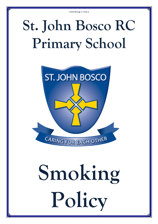## **St. John Bosco RC Primary School**



# **Smoking Policy**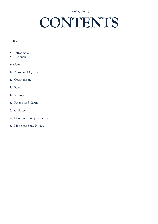**Smoking Policy** 

### **CONTENTS**

#### **Policy**

- Introduction
- Rationale

#### **Sections**

- **1.** Aims and Objectives
- **2.** Organisation
- **3.** Staff
- **4.** Visitors
- **5.** Parents and Carers
- **6.** Children
- **7.** Communicating the Policy
- **8.** Monitoring and Review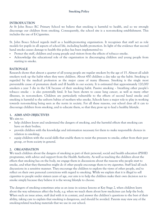#### **INTRODUCTION**

At St John Bosco RC Primary School we believe that smoking is harmful to health, and so we strongly discourage our children from smoking. Consequently, the school site is a non-smoking establishment. This includes the use of E-Cigarettes.

St. John Bosco School regards itself as a health-promoting organisation. It recognises that staff act as role models for pupils in all aspects of school life, including health promotion. In light of the evidence that second hand smoke causes damage to health this policy has been implemented to:

- Protect the staff, children and young people and visitors from the effects of tobacco smoke.
- Acknowledge the educational role of the organisation in discouraging children and young people from starting to smoke.

#### **RATIONALE**

Research shows that almost a quarter of all young people are regular smokers by the age of 15. Almost all adult smokers took up the habit when they were children. About 450 children a day take up the habit. Smoking is regarded by the medical profession as the major cause of many illnesses. Smoking is the single most preventable cause of premature death and ill health in our society. It is estimated that approximately 120,000 smokers a year 3 die in the UK because of their smoking habit. Passive smoking – breathing other people's tobacco smoke – is also potentially fatal. It has been shown to cause lung cancer, as well as many other illnesses, in non-smokers. Children are particularly vulnerable to the effects of second hand smoke and smoking is harmful to the unborn babies of mothers who smoke. Schools have a major role to play in working towards non-smoking being seen as the norm in society. For all these reasons, our school does all it can to discourage children from smoking, and to educate them, so that they grow up to lead a healthy lifestyle.

#### **1. AIMS AND OBJECTIVES**

We aim to:

- help children know and understand the dangers of smoking, and the harmful effects that smoking can have on their bodies;
- provide children with the knowledge and information necessary for them to make responsible choices in relation to smoking;
- equip children with the social skills that enable them to resist the pressure to smoke, either from their peer group, or from society in general.

#### **2. ORGANISATION**

We teach children about the dangers of smoking as part of their personal, social and health education (PSHE) programme, with advice and support from the Health Authority. As well as teaching the children about the effects that smoking has on the body, we engage them in discussions about the reasons why people start to smoke, and what they themselves might do if other people encourage them to try cigarettes. Staff lead all such discussions in a sensitive manner. They encourage the children to explore the views of other people, and to reflect on their own personal convictions with regard to smoking. While we explain that it is illegal to sell cigarettes to people under sixteen years of age, our aim is to help the children make their own decision not to smoke simply because they believe it is the wrong lifestyle to choose.

The dangers of smoking sometimes arise as an issue in science lessons at Key Stage 2, when children learn about the way substances affect the body, e.g. when we teach them about how medicines can help the body. When such an issue arises, staff deal with it in context, and answer the children's questions to the best of their ability, taking care to explain that smoking is dangerous, and should be avoided. Parents may view any of the smoking-related teaching materials that we use in our school.